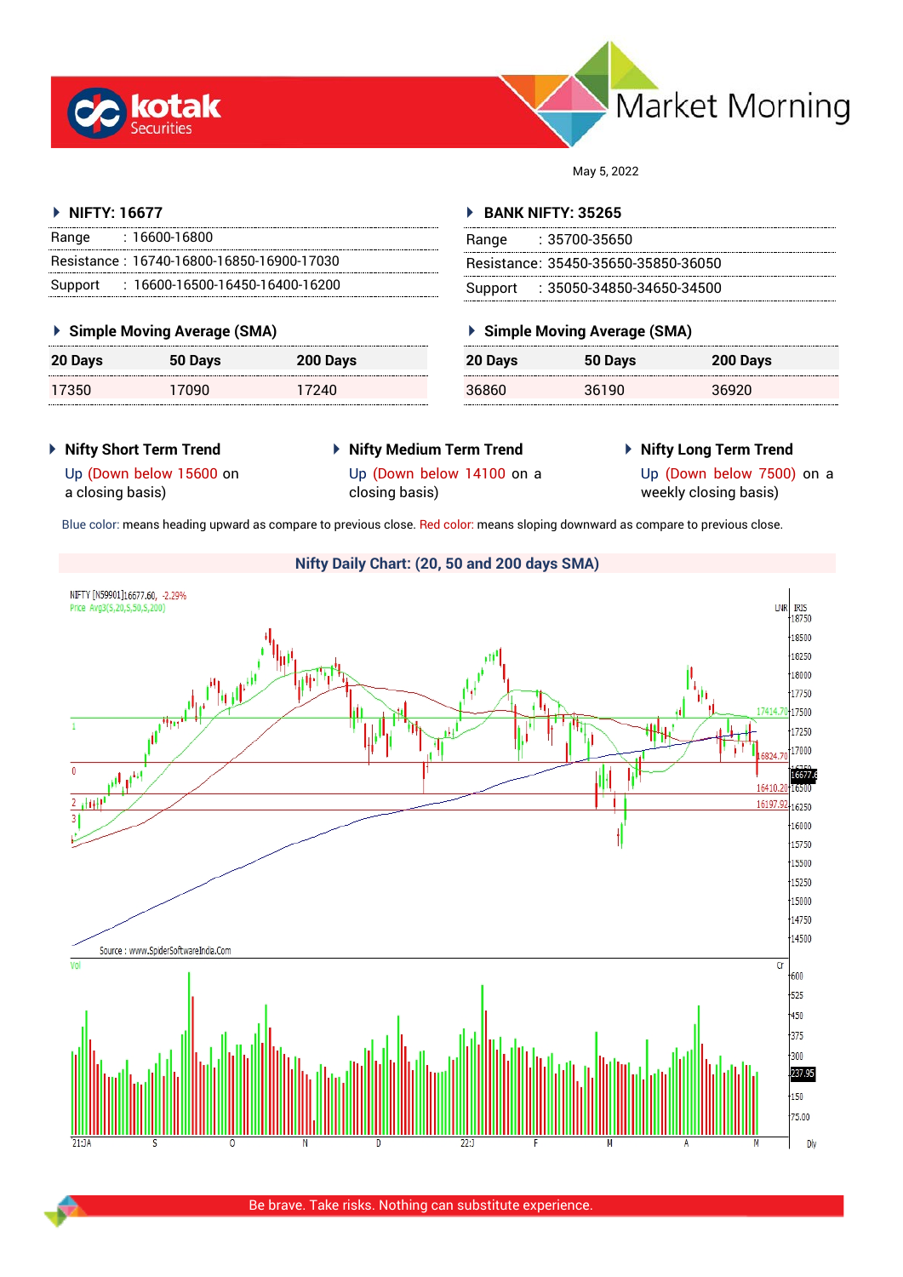



May 5, 2022

## **NIFTY: 16677**

| Range | : 16600-16800                             |
|-------|-------------------------------------------|
|       | Resistance: 16740-16800-16850-16900-17030 |
|       | Support: 16600-16500-16450-16400-16200    |

## **Simple Moving Average (SMA)**

| 20 Days | 50 Days | 200 Days |
|---------|---------|----------|
| 17350   | 17090   | 17240    |

#### **BANK NIFTY: 35265**

| Range | :35700-35650                        |
|-------|-------------------------------------|
|       | Resistance: 35450-35650-35850-36050 |
|       | Support : 35050-34850-34650-34500   |

## **Simple Moving Average (SMA)**

| 20 Days | 50 Days | 200 Days |
|---------|---------|----------|
| 36860   | 36190   | 36920    |

## **Nifty Short Term Trend**

- **Nifty Medium Term Trend**
- **Nifty Long Term Trend**

Up (Down below 15600 on a closing basis)

Up (Down below 14100 on a closing basis)

Up (Down below 7500) on a weekly closing basis)

Blue color: means heading upward as compare to previous close. Red color: means sloping downward as compare to previous close.

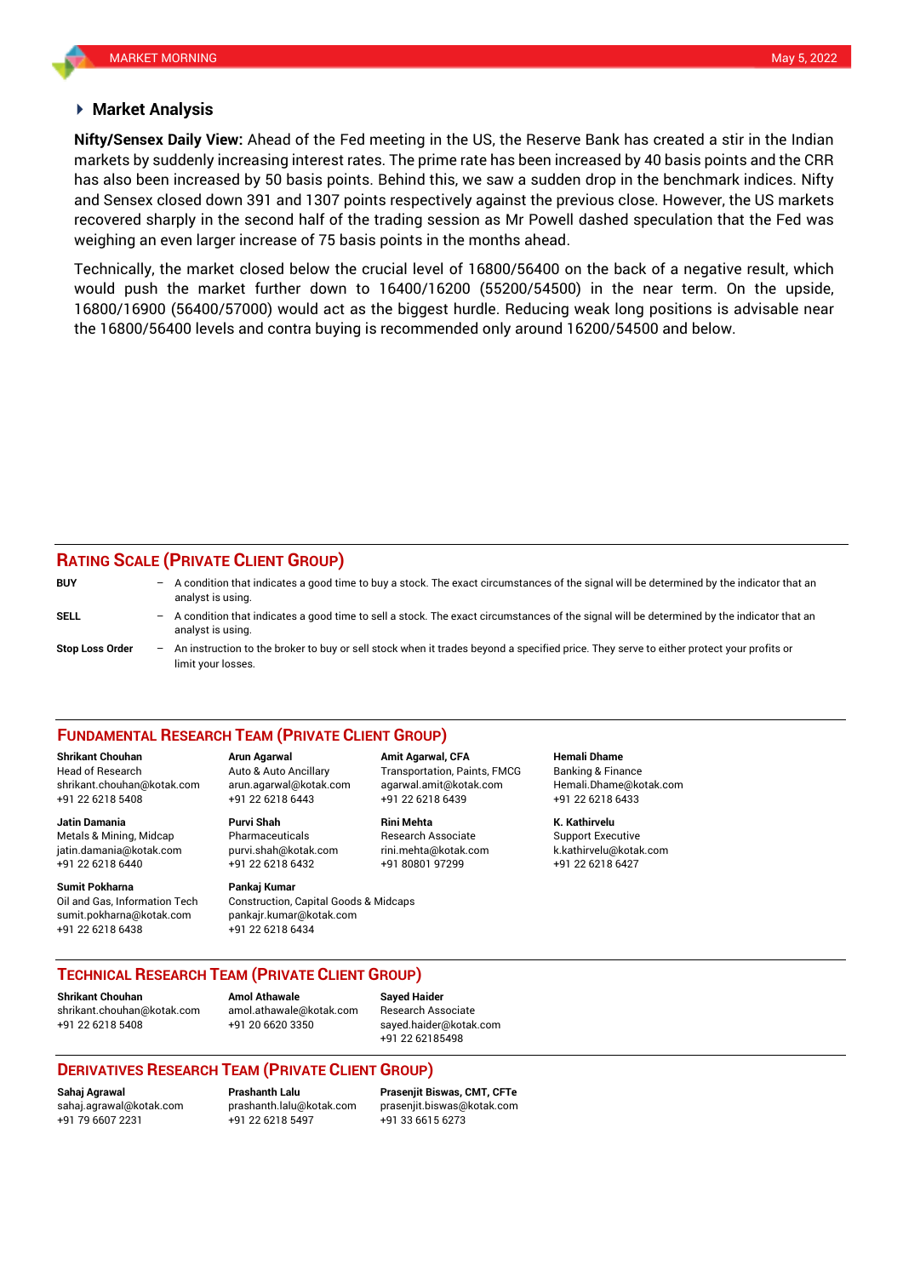#### **Market Analysis**

markets by suddenly increasing interest rates. The prime rate has been increased by 40 basis points and the CRR and Sensex closed down 391 and 1307 points respectively against the previous close. However, the US markets **Nifty/Sensex Daily View:** Ahead of the Fed meeting in the US, the Reserve Bank has created a stir in the Indian has also been increased by 50 basis points. Behind this, we saw a sudden drop in the benchmark indices. Nifty recovered sharply in the second half of the trading session as Mr Powell dashed speculation that the Fed was weighing an even larger increase of 75 basis points in the months ahead.

Technically, the market closed below the crucial level of 16800/56400 on the back of a negative result, which would push the market further down to 16400/16200 (55200/54500) in the near term. On the upside, 16800/16900 (56400/57000) would act as the biggest hurdle. Reducing weak long positions is advisable near the 16800/56400 levels and contra buying is recommended only around 16200/54500 and below.

## **RATING SCALE (PRIVATE CLIENT GROUP)**

| <b>BUY</b>             | -                        | A condition that indicates a good time to buy a stock. The exact circumstances of the signal will be determined by the indicator that an<br>analyst is using.  |
|------------------------|--------------------------|----------------------------------------------------------------------------------------------------------------------------------------------------------------|
| SELL                   | $\overline{\phantom{0}}$ | A condition that indicates a good time to sell a stock. The exact circumstances of the signal will be determined by the indicator that an<br>analyst is using. |
| <b>Stop Loss Order</b> | $-$                      | An instruction to the broker to buy or sell stock when it trades beyond a specified price. They serve to either protect your profits or<br>limit your losses.  |

#### **FUNDAMENTAL RESEARCH TEAM (PRIVATE CLIENT GROUP)**

Head of Research Auto & Auto Ancillary Transportation, Paints, FMCG Banking & Finance [shrikant.chouhan@kotak.com](mailto:shrikant.chouhan@kotak.com) arun.agarwal@kotak.com agarwal.amit@kotak.com Hemali.Dhame@kotak.com

**Jatin Damania Purvi Shah Rini Mehta K. Kathirvelu** Metals & Mining, Midcap Pharmaceuticals Research Associate Support Executive jatin.damania@kotak.com [purvi.shah@kotak.com](mailto:purvi.shah@kotak.com) rini.mehta@kotak.com [k.kathirvelu@kotak.com](mailto:k.kathirvelu@kotak.com) +91 22 6218 6440 +91 22 6218 6432 +91 80801 97299 +91 22 6218 6427

Oil and Gas, Information Tech Construction, Capital Goods & Midcaps sumit.pokharna@kotak.com pankajr.kumar@kotak.com

+91 22 6218 5408 +91 22 6218 6443 +91 22 6218 6439 +91 22 6218 6433

# **Sumit Pokharna** Pankaj Kumar

+91 22 6218 6438 +91 22 6218 6434

**Shrikant Chouhan Arun Agarwal Amit Agarwal, CFA Hemali Dhame**

**TECHNICAL RESEARCH TEAM (PRIVATE CLIENT GROUP)** 

**Shrikant Chouhan Amol Athawale Sayed Haider**

[shrikant.chouhan@kotak.com](mailto:shrikant.chouhan@kotak.com) [amol.athawale@kotak.com](mailto:amol.athawale@kotak.com) Research Associate +91 22 6218 5408 +91 20 6620 3350 [sayed.haider@kotak.com](mailto:sayed.haider@kotak.com)

+91 22 62185498

## **DERIVATIVES RESEARCH TEAM (PRIVATE CLIENT GROUP)**

+91 22 6218 5497 +91 33 6615 6273

**Sahaj Agrawal Prashanth Lalu Prasenjit Biswas, CMT, CFTe** [sahaj.agrawal@kotak.com](mailto:sahaj.agrawal@kotak.com) [prashanth.lalu@kotak.com](mailto:prashanth.lalu@kotak.com) [prasenjit.biswas@kotak.com](mailto:prasenjit.biswas@kotak.com)